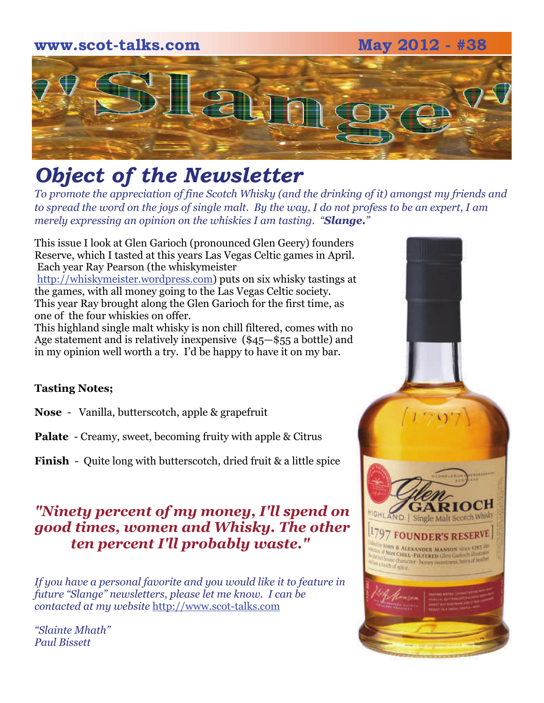# **www.scot-talks.com May 2012 - #38**  $\Box$

## *Object of the Newsletter*

*To promote the appreciation of fine Scotch Whisky (and the drinking of it) amongst my friends and to spread the word on the joys of single malt. By the way, I do not profess to be an expert, I am merely expressing an opinion on the whiskies I am tasting. "Slange."* 

This issue I look at Glen Garioch (pronounced Glen Geery) founders Reserve, which I tasted at this years Las Vegas Celtic games in April. Each year Ray Pearson (the whiskymeister [http://whiskymeister.wordpress.com](http://whiskymeister.wordpress.com/)) puts on six whisky tastings at the games, with all money going to the Las Vegas Celtic society. This year Ray brought along the Glen Garioch for the first time, as one of the four whiskies on offer.

This highland single malt whisky is non chill filtered, comes with no Age statement and is relatively inexpensive (\$45—\$55 a bottle) and in my opinion well worth a try. I'd be happy to have it on my bar.

#### **Tasting Notes;**

**Nose** - Vanilla, butterscotch, apple & grapefruit

**Palate** - Creamy, sweet, becoming fruity with apple & Citrus

**Finish** - Quite long with butterscotch, dried fruit & a little spice

#### *"Ninety percent of my money, I'll spend on good times, women and Whisky. The other ten percent I'll probably waste."*

*If you have a personal favorite and you would like it to feature in future "Slange" newsletters, please let me know. I can be contacted at my website* [http://www.scot-talks.com](http://www.scot-talks.com/default.html)

*"Slainte Mhath" Paul Bissett*

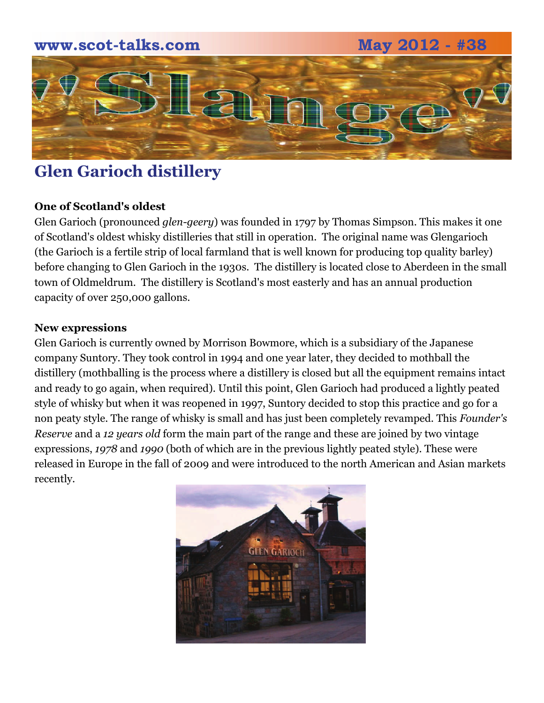# **www.scot-talks.com May 2012 - #38**  $\blacktriangleright$

## **Glen Garioch distillery**

#### **One of Scotland's oldest**

Glen Garioch (pronounced *glen-geery*) was founded in 1797 by Thomas Simpson. This makes it one of Scotland's oldest whisky distilleries that still in operation. The original name was Glengarioch (the Garioch is a fertile strip of local farmland that is well known for producing top quality barley) before changing to Glen Garioch in the 1930s. The distillery is located close to Aberdeen in the small town of Oldmeldrum. The distillery is Scotland's most easterly and has an annual production capacity of over 250,000 gallons.

#### **New expressions**

Glen Garioch is currently owned by Morrison Bowmore, which is a subsidiary of the Japanese company Suntory. They took control in 1994 and one year later, they decided to mothball the distillery (mothballing is the process where a distillery is closed but all the equipment remains intact and ready to go again, when required). Until this point, Glen Garioch had produced a lightly peated style of whisky but when it was reopened in 1997, Suntory decided to stop this practice and go for a non peaty style. The range of whisky is small and has just been completely revamped. This *Founder's Reserve* and a *12 years old* form the main part of the range and these are joined by two vintage expressions, *1978* and *1990* (both of which are in the previous lightly peated style). These were released in Europe in the fall of 2009 and were introduced to the north American and Asian markets recently.

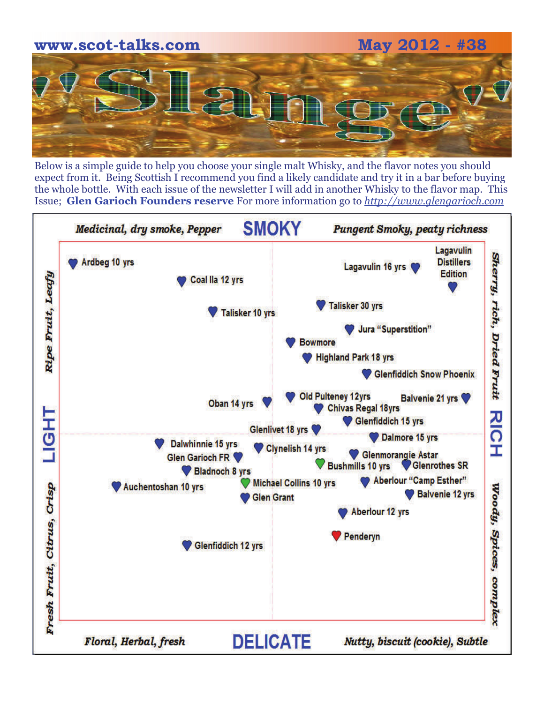

Below is a simple guide to help you choose your single malt Whisky, and the flavor notes you should expect from it. Being Scottish I recommend you find a likely candidate and try it in a bar before buying the whole bottle. With each issue of the newsletter I will add in another Whisky to the flavor map. This Issue; **Glen Garioch Founders reserve** For more information go to *[http://www.glengarioch.com](http://www.glengarioch.com/)*